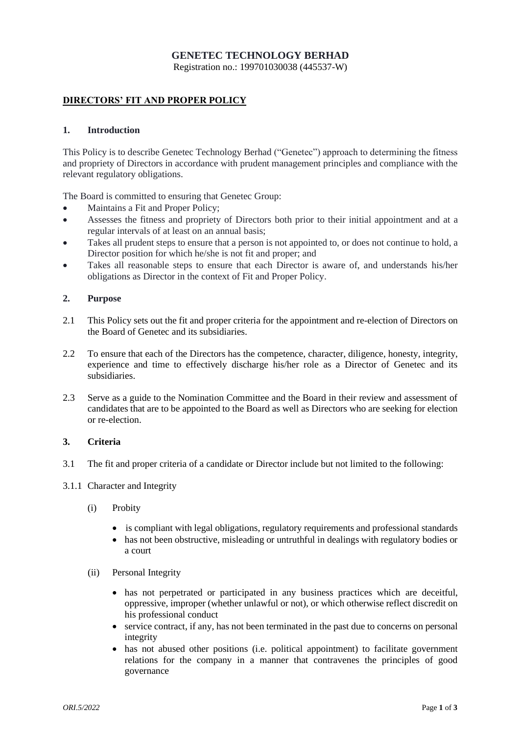# **GENETEC TECHNOLOGY BERHAD**

Registration no.: 199701030038 (445537-W)

## **DIRECTORS' FIT AND PROPER POLICY**

#### **1. Introduction**

This Policy is to describe Genetec Technology Berhad ("Genetec") approach to determining the fitness and propriety of Directors in accordance with prudent management principles and compliance with the relevant regulatory obligations.

The Board is committed to ensuring that Genetec Group:

- Maintains a Fit and Proper Policy;
- Assesses the fitness and propriety of Directors both prior to their initial appointment and at a regular intervals of at least on an annual basis;
- Takes all prudent steps to ensure that a person is not appointed to, or does not continue to hold, a Director position for which he/she is not fit and proper; and
- Takes all reasonable steps to ensure that each Director is aware of, and understands his/her obligations as Director in the context of Fit and Proper Policy.

### **2. Purpose**

- 2.1 This Policy sets out the fit and proper criteria for the appointment and re-election of Directors on the Board of Genetec and its subsidiaries.
- 2.2 To ensure that each of the Directors has the competence, character, diligence, honesty, integrity, experience and time to effectively discharge his/her role as a Director of Genetec and its subsidiaries.
- 2.3 Serve as a guide to the Nomination Committee and the Board in their review and assessment of candidates that are to be appointed to the Board as well as Directors who are seeking for election or re-election.

### **3. Criteria**

- 3.1 The fit and proper criteria of a candidate or Director include but not limited to the following:
- 3.1.1 Character and Integrity
	- (i) Probity
		- is compliant with legal obligations, regulatory requirements and professional standards
		- has not been obstructive, misleading or untruthful in dealings with regulatory bodies or a court
	- (ii) Personal Integrity
		- has not perpetrated or participated in any business practices which are deceitful, oppressive, improper (whether unlawful or not), or which otherwise reflect discredit on his professional conduct
		- service contract, if any, has not been terminated in the past due to concerns on personal integrity
		- has not abused other positions (i.e. political appointment) to facilitate government relations for the company in a manner that contravenes the principles of good governance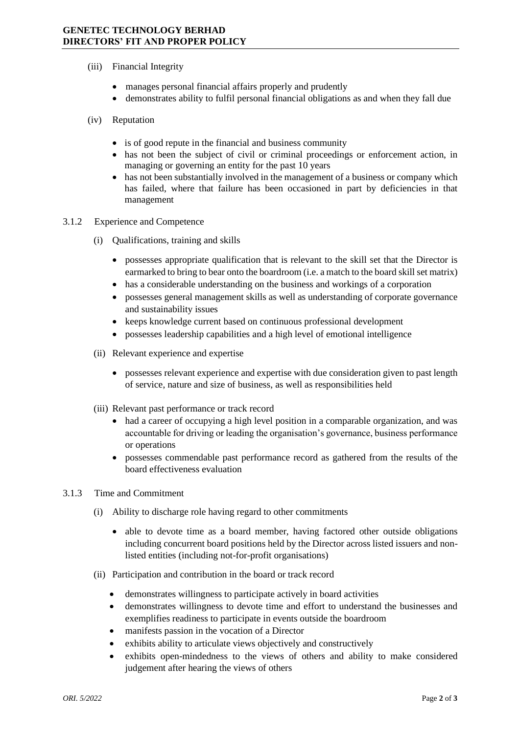- (iii) Financial Integrity
	- manages personal financial affairs properly and prudently
	- demonstrates ability to fulfil personal financial obligations as and when they fall due
- (iv) Reputation
	- is of good repute in the financial and business community
	- has not been the subject of civil or criminal proceedings or enforcement action, in managing or governing an entity for the past 10 years
	- has not been substantially involved in the management of a business or company which has failed, where that failure has been occasioned in part by deficiencies in that management
- 3.1.2 Experience and Competence
	- (i) Qualifications, training and skills
		- possesses appropriate qualification that is relevant to the skill set that the Director is earmarked to bring to bear onto the boardroom (i.e. a match to the board skill set matrix)
		- has a considerable understanding on the business and workings of a corporation
		- possesses general management skills as well as understanding of corporate governance and sustainability issues
		- keeps knowledge current based on continuous professional development
		- possesses leadership capabilities and a high level of emotional intelligence
	- (ii) Relevant experience and expertise
		- possesses relevant experience and expertise with due consideration given to past length of service, nature and size of business, as well as responsibilities held
	- (iii) Relevant past performance or track record
		- had a career of occupying a high level position in a comparable organization, and was accountable for driving or leading the organisation's governance, business performance or operations
		- possesses commendable past performance record as gathered from the results of the board effectiveness evaluation

#### 3.1.3 Time and Commitment

- (i) Ability to discharge role having regard to other commitments
	- able to devote time as a board member, having factored other outside obligations including concurrent board positions held by the Director across listed issuers and nonlisted entities (including not-for-profit organisations)
- (ii) Participation and contribution in the board or track record
	- demonstrates willingness to participate actively in board activities
	- demonstrates willingness to devote time and effort to understand the businesses and exemplifies readiness to participate in events outside the boardroom
	- manifests passion in the vocation of a Director
	- exhibits ability to articulate views objectively and constructively
	- exhibits open-mindedness to the views of others and ability to make considered judgement after hearing the views of others